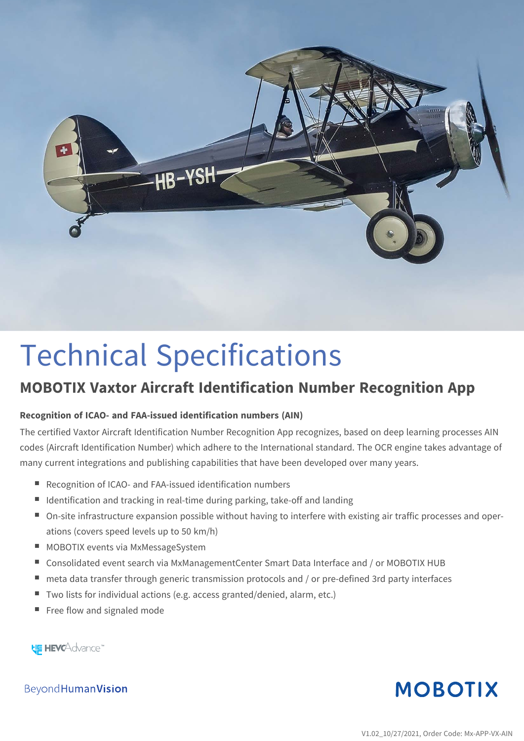

# Technical Specifications

## **MOBOTIX Vaxtor Aircraft Identification Number Recognition App**

#### **Recognition of ICAO- and FAA-issued identification numbers (AIN)**

The certified Vaxtor Aircraft Identification Number Recognition App recognizes, based on deep learning processes AIN codes (Aircraft Identification Number) which adhere to the International standard. The OCR engine takes advantage of many current integrations and publishing capabilities that have been developed over many years.

- Recognition of ICAO- and FAA-issued identification numbers
- $\blacksquare$  Identification and tracking in real-time during parking, take-off and landing
- <sup>n</sup> On-site infrastructure expansion possible without having to interfere with existing air traffic processes and operations (covers speed levels up to 50 km/h)
- MOBOTIX events via MxMessageSystem
- Consolidated event search via MxManagementCenter Smart Data Interface and / or MOBOTIX HUB
- meta data transfer through generic transmission protocols and / or pre-defined 3rd party interfaces
- Two lists for individual actions (e.g. access granted/denied, alarm, etc.)
- Free flow and signaled mode

**HE HEVCAdvance** 

**MOBOTIX** 

Beyond Human Vision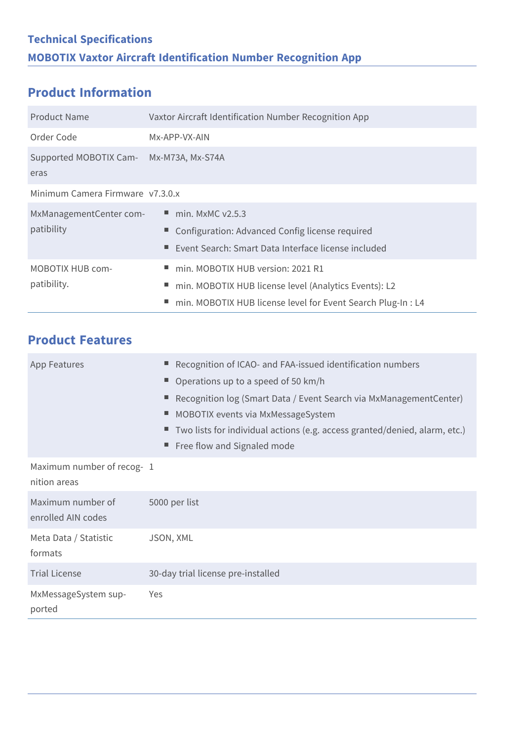#### **Product Information**

| <b>Product Name</b>                    | Vaxtor Aircraft Identification Number Recognition App                                                                                                           |
|----------------------------------------|-----------------------------------------------------------------------------------------------------------------------------------------------------------------|
| Order Code                             | Mx-APP-VX-AIN                                                                                                                                                   |
| Supported MOBOTIX Cam-<br>eras         | Mx-M73A, Mx-S74A                                                                                                                                                |
| Minimum Camera Firmware v7.3.0.x       |                                                                                                                                                                 |
| MxManagementCenter com-<br>patibility  | $\blacksquare$ min. MxMC v2.5.3<br>Configuration: Advanced Config license required<br>Event Search: Smart Data Interface license included                       |
| <b>MOBOTIX HUB com-</b><br>patibility. | min. MOBOTIX HUB version: 2021 R1<br>min. MOBOTIX HUB license level (Analytics Events): L2<br>н.<br>min. MOBOTIX HUB license level for Event Search Plug-In: L4 |

|  | <b>Product Features</b> |
|--|-------------------------|
|  |                         |

| <b>App Features</b>                       | Recognition of ICAO- and FAA-issued identification numbers<br>Operations up to a speed of 50 km/h<br>Recognition log (Smart Data / Event Search via MxManagementCenter)<br>MOBOTIX events via MxMessageSystem<br>ш<br>Two lists for individual actions (e.g. access granted/denied, alarm, etc.)<br>Free flow and Signaled mode |
|-------------------------------------------|---------------------------------------------------------------------------------------------------------------------------------------------------------------------------------------------------------------------------------------------------------------------------------------------------------------------------------|
| Maximum number of recog-1<br>nition areas |                                                                                                                                                                                                                                                                                                                                 |
| Maximum number of<br>enrolled AIN codes   | 5000 per list                                                                                                                                                                                                                                                                                                                   |
| Meta Data / Statistic<br>formats          | JSON, XML                                                                                                                                                                                                                                                                                                                       |
| <b>Trial License</b>                      | 30-day trial license pre-installed                                                                                                                                                                                                                                                                                              |
| MxMessageSystem sup-<br>ported            | Yes                                                                                                                                                                                                                                                                                                                             |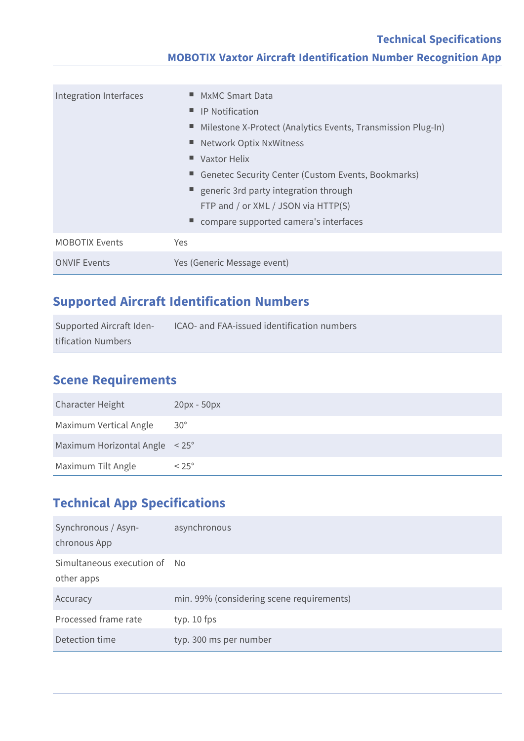#### **Technical Specifications MOBOTIX Vaxtor Aircraft Identification Number Recognition App**

| Integration Interfaces | ■ MxMC Smart Data<br>$\blacksquare$ IP Notification<br>■ Milestone X-Protect (Analytics Events, Transmission Plug-In)<br>■ Network Optix NxWitness<br>$\blacksquare$ Vaxtor Helix<br>Genetec Security Center (Custom Events, Bookmarks)<br>■ generic 3rd party integration through<br>FTP and / or XML / JSON via HTTP(S) |
|------------------------|---------------------------------------------------------------------------------------------------------------------------------------------------------------------------------------------------------------------------------------------------------------------------------------------------------------------------|
|                        | compare supported camera's interfaces                                                                                                                                                                                                                                                                                     |
| <b>MOBOTIX Events</b>  | Yes                                                                                                                                                                                                                                                                                                                       |
| <b>ONVIF Events</b>    | Yes (Generic Message event)                                                                                                                                                                                                                                                                                               |

#### **Supported Aircraft Identification Numbers**

| Supported Aircraft Iden- | ICAO- and FAA-issued identification numbers |
|--------------------------|---------------------------------------------|
| tification Numbers       |                                             |

#### **Scene Requirements**

| <b>Character Height</b>                  | $20px - 50px$  |
|------------------------------------------|----------------|
| Maximum Vertical Angle                   | $30^{\circ}$   |
| Maximum Horizontal Angle $\leq 25^\circ$ |                |
| Maximum Tilt Angle                       | $< 25^{\circ}$ |

### **Technical App Specifications**

| Synchronous / Asyn-<br>chronous App        | asynchronous                              |
|--------------------------------------------|-------------------------------------------|
| Simultaneous execution of No<br>other apps |                                           |
| Accuracy                                   | min. 99% (considering scene requirements) |
| Processed frame rate                       | typ. $10$ fps                             |
| Detection time                             | typ. 300 ms per number                    |